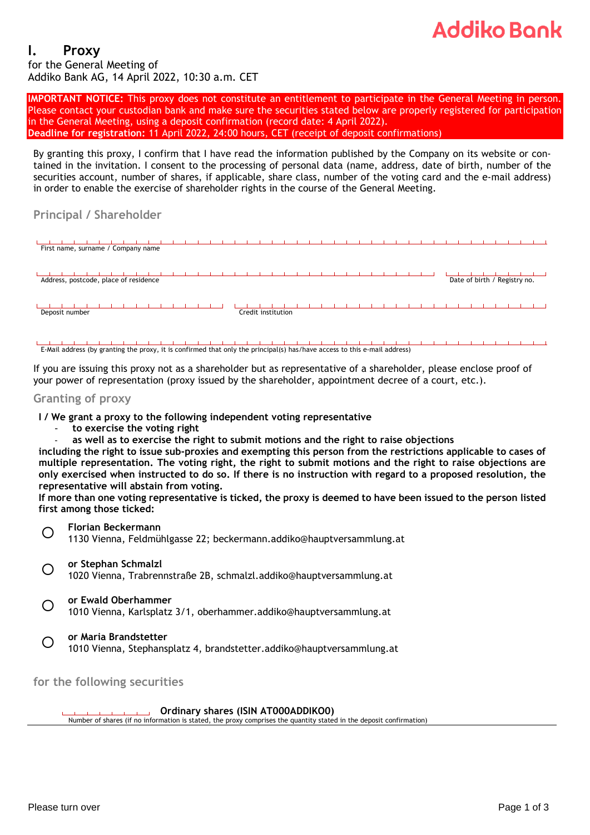## Addiko Book

#### **I. Proxy** for the General Meeting of Addiko Bank AG, 14 April 2022, 10:30 a.m. CET

**IMPORTANT NOTICE:** This proxy does not constitute an entitlement to participate in the General Meeting in person. Please contact your custodian bank and make sure the securities stated below are properly registered for participation in the General Meeting, using a deposit confirmation (record date: 4 April 2022). **Deadline for registration:** 11 April 2022, 24:00 hours, CET (receipt of deposit confirmations)

By granting this proxy, I confirm that I have read the information published by the Company on its website or contained in the invitation. I consent to the processing of personal data (name, address, date of birth, number of the securities account, number of shares, if applicable, share class, number of the voting card and the e-mail address) in order to enable the exercise of shareholder rights in the course of the General Meeting.

### **Principal / Shareholder**



E-Mail address (by granting the proxy, it is confirmed that only the principal(s) has/have access to this e-mail address)

If you are issuing this proxy not as a shareholder but as representative of a shareholder, please enclose proof of your power of representation (proxy issued by the shareholder, appointment decree of a court, etc.).

#### **Granting of proxy**

- **I / We grant a proxy to the following independent voting representative**
	- **to exercise the voting right**
	- **as well as to exercise the right to submit motions and the right to raise objections**

including the right to issue sub-proxies and exempting this person from the restrictions applicable to cases of multiple representation. The voting right, the right to submit motions and the right to raise objections are only exercised when instructed to do so. If there is no instruction with regard to a proposed resolution, the **representative will abstain from voting.** 

If more than one voting representative is ticked, the proxy is deemed to have been issued to the person listed **first among those ticked:**



 $\bigcirc$ **or Ewald Oberhammer**

1010 Vienna, Karlsplatz 3/1, oberhammer.addiko@hauptversammlung.at

 $\left( \right)$ **or Maria Brandstetter**

1010 Vienna, Stephansplatz 4, brandstetter.addiko@hauptversammlung.at

**for the following securities**

**Ordinary shares (ISIN AT000ADDIKO0)**

Number of shares (if no information is stated, the proxy comprises the quantity stated in the deposit confirmation)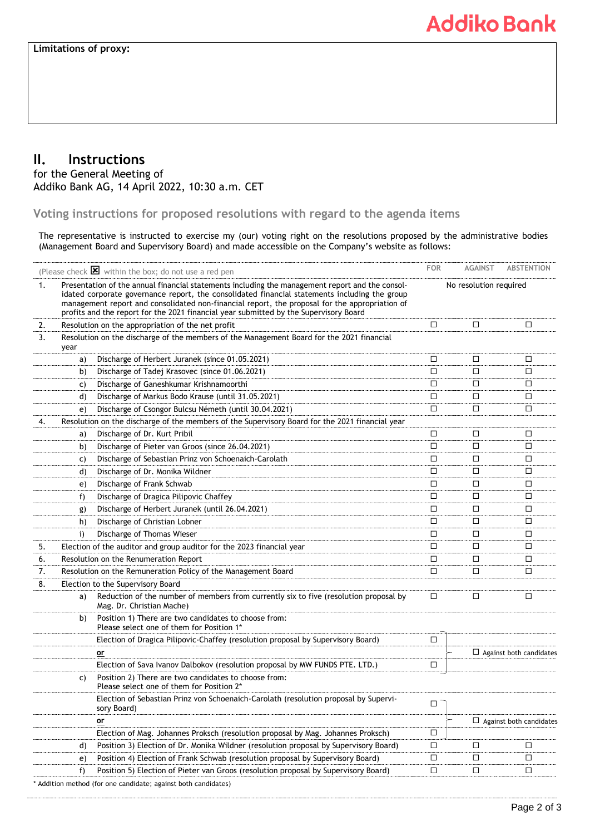### **II. Instructions**

for the General Meeting of Addiko Bank AG, 14 April 2022, 10:30 a.m. CET

**Voting instructions for proposed resolutions with regard to the agenda items**

The representative is instructed to exercise my (our) voting right on the resolutions proposed by the administrative bodies (Management Board and Supervisory Board) and made accessible on the Company's website as follows:

| (Please check $\boxtimes$ within the box; do not use a red pen                                        |                                                                                                                                                                                                 |                                                                                                                    | <b>FOR</b>             | <b>AGAINST</b> | <b>ABSTENTION</b>              |
|-------------------------------------------------------------------------------------------------------|-------------------------------------------------------------------------------------------------------------------------------------------------------------------------------------------------|--------------------------------------------------------------------------------------------------------------------|------------------------|----------------|--------------------------------|
| Presentation of the annual financial statements including the management report and the consol-<br>1. |                                                                                                                                                                                                 |                                                                                                                    |                        |                |                                |
|                                                                                                       | idated corporate governance report, the consolidated financial statements including the group<br>management report and consolidated non-financial report, the proposal for the appropriation of |                                                                                                                    | No resolution required |                |                                |
|                                                                                                       |                                                                                                                                                                                                 | profits and the report for the 2021 financial year submitted by the Supervisory Board                              |                        |                |                                |
| 2.                                                                                                    |                                                                                                                                                                                                 | Resolution on the appropriation of the net profit                                                                  | □                      | □              | $\Box$                         |
| 3.                                                                                                    | Resolution on the discharge of the members of the Management Board for the 2021 financial<br>year                                                                                               |                                                                                                                    |                        |                |                                |
|                                                                                                       | a)                                                                                                                                                                                              | Discharge of Herbert Juranek (since 01.05.2021)                                                                    | □                      | □              | $\Box$                         |
|                                                                                                       | b)                                                                                                                                                                                              | Discharge of Tadej Krasovec (since 01.06.2021)                                                                     | □                      | □              | □                              |
|                                                                                                       | C)                                                                                                                                                                                              | Discharge of Ganeshkumar Krishnamoorthi                                                                            | □                      | □              | □                              |
|                                                                                                       | d)                                                                                                                                                                                              | Discharge of Markus Bodo Krause (until 31.05.2021)                                                                 | □                      | □              | □                              |
|                                                                                                       | e)                                                                                                                                                                                              | Discharge of Csongor Bulcsu Németh (until 30.04.2021)                                                              | $\Box$                 | □              | □                              |
| 4.                                                                                                    |                                                                                                                                                                                                 | Resolution on the discharge of the members of the Supervisory Board for the 2021 financial year                    |                        |                |                                |
|                                                                                                       | a)                                                                                                                                                                                              | Discharge of Dr. Kurt Pribil                                                                                       | □                      | □              | □                              |
|                                                                                                       | b)                                                                                                                                                                                              | Discharge of Pieter van Groos (since 26.04.2021)                                                                   | $\Box$                 | $\Box$         | □                              |
|                                                                                                       | C)                                                                                                                                                                                              | Discharge of Sebastian Prinz von Schoenaich-Carolath                                                               | □                      | □              | □                              |
|                                                                                                       | d)                                                                                                                                                                                              | Discharge of Dr. Monika Wildner                                                                                    | □                      | □              | □                              |
|                                                                                                       | e)                                                                                                                                                                                              | Discharge of Frank Schwab                                                                                          | □                      | □              | □                              |
|                                                                                                       | f)                                                                                                                                                                                              | Discharge of Dragica Pilipovic Chaffey                                                                             | □                      | □              | □                              |
|                                                                                                       | g)                                                                                                                                                                                              | Discharge of Herbert Juranek (until 26.04.2021)                                                                    | □                      | □              | □                              |
|                                                                                                       | h)                                                                                                                                                                                              | Discharge of Christian Lobner                                                                                      | □                      | □              | □                              |
|                                                                                                       | i)                                                                                                                                                                                              | Discharge of Thomas Wieser                                                                                         | □                      | □              | □                              |
| 5.                                                                                                    |                                                                                                                                                                                                 | Election of the auditor and group auditor for the 2023 financial year                                              | □                      | □              | □                              |
| 6.                                                                                                    |                                                                                                                                                                                                 | Resolution on the Renumeration Report                                                                              | □                      | □              | □                              |
| 7.                                                                                                    |                                                                                                                                                                                                 | Resolution on the Remuneration Policy of the Management Board                                                      | □                      | □              | $\Box$                         |
| 8.                                                                                                    | Election to the Supervisory Board                                                                                                                                                               |                                                                                                                    |                        |                |                                |
|                                                                                                       | a)                                                                                                                                                                                              | Reduction of the number of members from currently six to five (resolution proposal by<br>Mag. Dr. Christian Mache) | □                      | □              | □                              |
|                                                                                                       | b)                                                                                                                                                                                              | Position 1) There are two candidates to choose from:<br>Please select one of them for Position 1*                  |                        |                |                                |
|                                                                                                       |                                                                                                                                                                                                 | Election of Dragica Pilipovic-Chaffey (resolution proposal by Supervisory Board)                                   | □                      |                |                                |
|                                                                                                       |                                                                                                                                                                                                 | <u>or</u>                                                                                                          |                        |                | $\Box$ Against both candidates |
|                                                                                                       |                                                                                                                                                                                                 | Election of Sava Ivanov Dalbokov (resolution proposal by MW FUNDS PTE. LTD.)                                       | □                      |                |                                |
|                                                                                                       | C)                                                                                                                                                                                              | Position 2) There are two candidates to choose from:<br>Please select one of them for Position 2*                  |                        |                |                                |
|                                                                                                       |                                                                                                                                                                                                 | Election of Sebastian Prinz von Schoenaich-Carolath (resolution proposal by Supervi-<br>sory Board)                | רח                     |                |                                |
|                                                                                                       |                                                                                                                                                                                                 | or                                                                                                                 |                        |                | $\Box$ Against both candidates |
|                                                                                                       |                                                                                                                                                                                                 | Election of Mag. Johannes Proksch (resolution proposal by Mag. Johannes Proksch)                                   | $\Box$                 |                |                                |
|                                                                                                       | d)                                                                                                                                                                                              | Position 3) Election of Dr. Monika Wildner (resolution proposal by Supervisory Board)                              | $\Box$                 | $\Box$         | $\Box$                         |
|                                                                                                       | e)                                                                                                                                                                                              | Position 4) Election of Frank Schwab (resolution proposal by Supervisory Board)                                    | $\Box$                 | $\Box$         | $\Box$                         |
|                                                                                                       | f)                                                                                                                                                                                              | Position 5) Election of Pieter van Groos (resolution proposal by Supervisory Board)                                | $\Box$                 | $\Box$         | $\Box$                         |
|                                                                                                       |                                                                                                                                                                                                 | Addition method (for one candidate; against both candidates)                                                       |                        |                |                                |